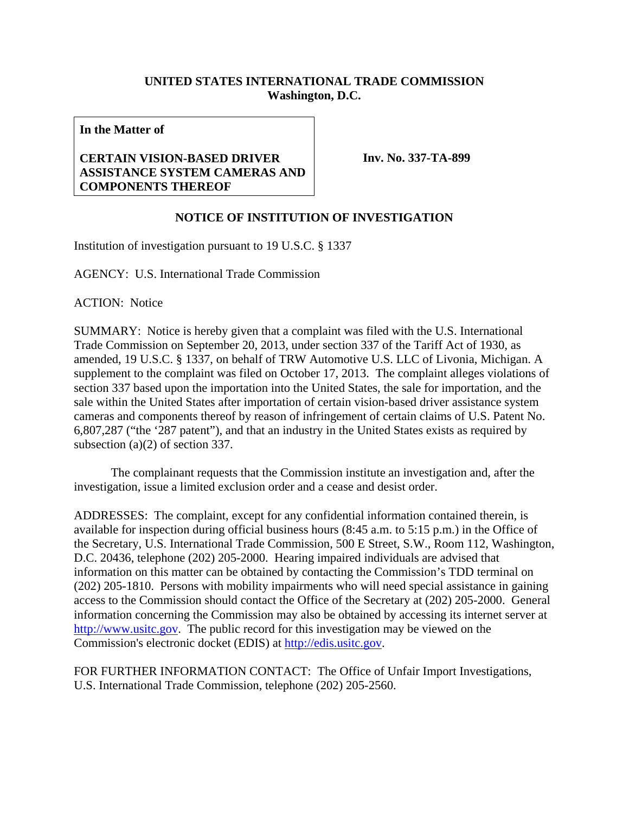## **UNITED STATES INTERNATIONAL TRADE COMMISSION Washington, D.C.**

**In the Matter of** 

## **CERTAIN VISION-BASED DRIVER ASSISTANCE SYSTEM CAMERAS AND COMPONENTS THEREOF**

**Inv. No. 337-TA-899**

## **NOTICE OF INSTITUTION OF INVESTIGATION**

Institution of investigation pursuant to 19 U.S.C. § 1337

AGENCY: U.S. International Trade Commission

ACTION: Notice

SUMMARY: Notice is hereby given that a complaint was filed with the U.S. International Trade Commission on September 20, 2013, under section 337 of the Tariff Act of 1930, as amended, 19 U.S.C. § 1337, on behalf of TRW Automotive U.S. LLC of Livonia, Michigan. A supplement to the complaint was filed on October 17, 2013. The complaint alleges violations of section 337 based upon the importation into the United States, the sale for importation, and the sale within the United States after importation of certain vision-based driver assistance system cameras and components thereof by reason of infringement of certain claims of U.S. Patent No. 6,807,287 ("the '287 patent"), and that an industry in the United States exists as required by subsection (a)(2) of section 337.

 The complainant requests that the Commission institute an investigation and, after the investigation, issue a limited exclusion order and a cease and desist order.

ADDRESSES: The complaint, except for any confidential information contained therein, is available for inspection during official business hours (8:45 a.m. to 5:15 p.m.) in the Office of the Secretary, U.S. International Trade Commission, 500 E Street, S.W., Room 112, Washington, D.C. 20436, telephone (202) 205-2000. Hearing impaired individuals are advised that information on this matter can be obtained by contacting the Commission's TDD terminal on (202) 205-1810. Persons with mobility impairments who will need special assistance in gaining access to the Commission should contact the Office of the Secretary at (202) 205-2000. General information concerning the Commission may also be obtained by accessing its internet server at http://www.usitc.gov. The public record for this investigation may be viewed on the Commission's electronic docket (EDIS) at http://edis.usitc.gov.

FOR FURTHER INFORMATION CONTACT: The Office of Unfair Import Investigations, U.S. International Trade Commission, telephone (202) 205-2560.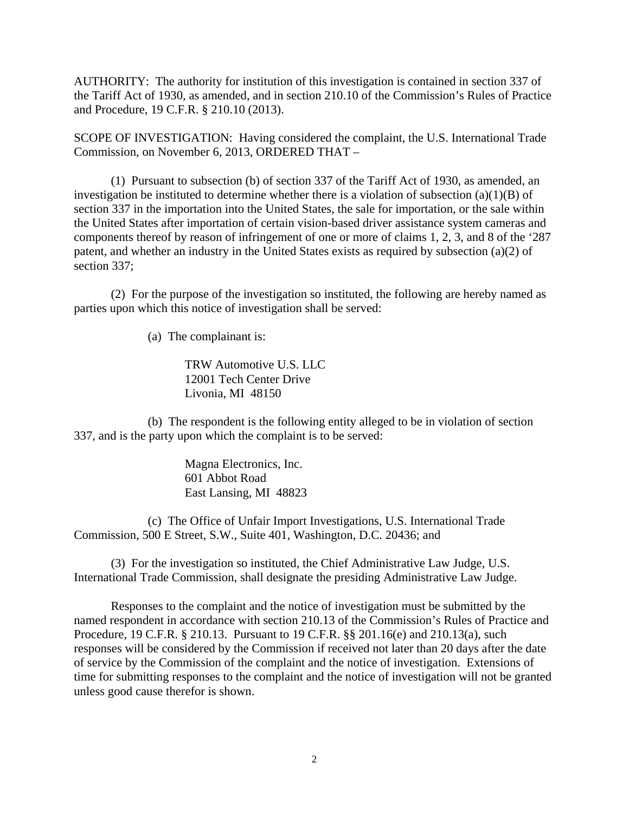AUTHORITY: The authority for institution of this investigation is contained in section 337 of the Tariff Act of 1930, as amended, and in section 210.10 of the Commission's Rules of Practice and Procedure, 19 C.F.R. § 210.10 (2013).

SCOPE OF INVESTIGATION: Having considered the complaint, the U.S. International Trade Commission, on November 6, 2013, ORDERED THAT –

 (1) Pursuant to subsection (b) of section 337 of the Tariff Act of 1930, as amended, an investigation be instituted to determine whether there is a violation of subsection  $(a)(1)(B)$  of section 337 in the importation into the United States, the sale for importation, or the sale within the United States after importation of certain vision-based driver assistance system cameras and components thereof by reason of infringement of one or more of claims 1, 2, 3, and 8 of the '287 patent, and whether an industry in the United States exists as required by subsection (a)(2) of section 337;

 (2) For the purpose of the investigation so instituted, the following are hereby named as parties upon which this notice of investigation shall be served:

(a) The complainant is:

TRW Automotive U.S. LLC 12001 Tech Center Drive Livonia, MI 48150

 (b) The respondent is the following entity alleged to be in violation of section 337, and is the party upon which the complaint is to be served:

> Magna Electronics, Inc. 601 Abbot Road East Lansing, MI 48823

 (c) The Office of Unfair Import Investigations, U.S. International Trade Commission, 500 E Street, S.W., Suite 401, Washington, D.C. 20436; and

 (3) For the investigation so instituted, the Chief Administrative Law Judge, U.S. International Trade Commission, shall designate the presiding Administrative Law Judge.

 Responses to the complaint and the notice of investigation must be submitted by the named respondent in accordance with section 210.13 of the Commission's Rules of Practice and Procedure, 19 C.F.R. § 210.13. Pursuant to 19 C.F.R. §§ 201.16(e) and 210.13(a), such responses will be considered by the Commission if received not later than 20 days after the date of service by the Commission of the complaint and the notice of investigation. Extensions of time for submitting responses to the complaint and the notice of investigation will not be granted unless good cause therefor is shown.